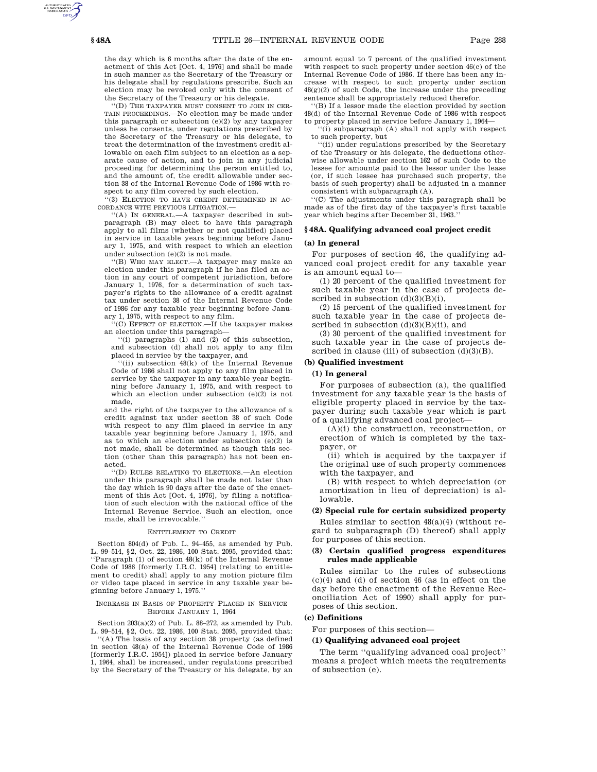the day which is 6 months after the date of the enactment of this Act [Oct. 4, 1976] and shall be made in such manner as the Secretary of the Treasury or his delegate shall by regulations prescribe. Such an election may be revoked only with the consent of the Secretary of the Treasury or his delegate.

''(D) THE TAXPAYER MUST CONSENT TO JOIN IN CER-TAIN PROCEEDINGS.—No election may be made under this paragraph or subsection  $(e)(2)$  by any taxpayer unless he consents, under regulations prescribed by the Secretary of the Treasury or his delegate, to treat the determination of the investment credit allowable on each film subject to an election as a separate cause of action, and to join in any judicial proceeding for determining the person entitled to, and the amount of, the credit allowable under section 38 of the Internal Revenue Code of 1986 with respect to any film covered by such election.

''(3) ELECTION TO HAVE CREDIT DETERMINED IN AC-CORDANCE WITH PREVIOUS LITIGATION.—

''(A) IN GENERAL.—A taxpayer described in subparagraph (B) may elect to have this paragraph apply to all films (whether or not qualified) placed in service in taxable years beginning before January 1, 1975, and with respect to which an election under subsection  ${\rm (e)}(2)$  is not made.

''(B) WHO MAY ELECT.—A taxpayer may make an election under this paragraph if he has filed an action in any court of competent jurisdiction, before January 1, 1976, for a determination of such taxpayer's rights to the allowance of a credit against tax under section 38 of the Internal Revenue Code of 1986 for any taxable year beginning before January 1, 1975, with respect to any film.

''(C) EFFECT OF ELECTION.—If the taxpayer makes an election under this paragraph—

''(i) paragraphs (1) and (2) of this subsection, and subsection (d) shall not apply to any film placed in service by the taxpayer, and

''(ii) subsection 48(k) of the Internal Revenue Code of 1986 shall not apply to any film placed in service by the taxpayer in any taxable year beginning before January 1, 1975, and with respect to which an election under subsection (e)(2) is not made,

and the right of the taxpayer to the allowance of a credit against tax under section 38 of such Code with respect to any film placed in service in any taxable year beginning before January 1, 1975, and as to which an election under subsection (e)(2) is not made, shall be determined as though this section (other than this paragraph) has not been enacted.

''(D) RULES RELATING TO ELECTIONS.—An election under this paragraph shall be made not later than the day which is 90 days after the date of the enactment of this Act [Oct. 4, 1976], by filing a notification of such election with the national office of the Internal Revenue Service. Such an election, once made, shall be irrevocable.

#### ENTITLEMENT TO CREDIT

Section 804(d) of Pub. L. 94–455, as amended by Pub. L. 99–514, §2, Oct. 22, 1986, 100 Stat. 2095, provided that: ''Paragraph (1) of section 48(k) of the Internal Revenue Code of 1986 [formerly I.R.C. 1954] (relating to entitlement to credit) shall apply to any motion picture film or video tape placed in service in any taxable year beginning before January 1, 1975.''

#### INCREASE IN BASIS OF PROPERTY PLACED IN SERVICE BEFORE JANUARY 1, 1964

Section 203(a)(2) of Pub. L. 88–272, as amended by Pub. L. 99–514, §2, Oct. 22, 1986, 100 Stat. 2095, provided that:

'(A) The basis of any section 38 property (as defined in section 48(a) of the Internal Revenue Code of 1986 [formerly I.R.C. 1954]) placed in service before January 1, 1964, shall be increased, under regulations prescribed by the Secretary of the Treasury or his delegate, by an

amount equal to 7 percent of the qualified investment with respect to such property under section 46(c) of the Internal Revenue Code of 1986. If there has been any increase with respect to such property under section 48(g)(2) of such Code, the increase under the preceding sentence shall be appropriately reduced therefor.

''(B) If a lessor made the election provided by section 48(d) of the Internal Revenue Code of 1986 with respect to property placed in service before January 1, 1964—

''(i) subparagraph (A) shall not apply with respect to such property, but

'(ii) under regulations prescribed by the Secretary of the Treasury or his delegate, the deductions otherwise allowable under section 162 of such Code to the lessee for amounts paid to the lessor under the lease (or, if such lessee has purchased such property, the basis of such property) shall be adjusted in a manner consistent with subparagraph (A).

''(C) The adjustments under this paragraph shall be made as of the first day of the taxpayer's first taxable year which begins after December 31, 1963.''

#### **§ 48A. Qualifying advanced coal project credit**

#### **(a) In general**

For purposes of section 46, the qualifying advanced coal project credit for any taxable year is an amount equal to—

(1) 20 percent of the qualified investment for such taxable year in the case of projects described in subsection  $(d)(3)(B)(i)$ ,

(2) 15 percent of the qualified investment for such taxable year in the case of projects described in subsection  $(d)(3)(B)(ii)$ , and

(3) 30 percent of the qualified investment for such taxable year in the case of projects described in clause (iii) of subsection  $(d)(3)(B)$ .

#### **(b) Qualified investment**

# **(1) In general**

For purposes of subsection (a), the qualified investment for any taxable year is the basis of eligible property placed in service by the taxpayer during such taxable year which is part of a qualifying advanced coal project—

(A)(i) the construction, reconstruction, or erection of which is completed by the taxpayer, or

(ii) which is acquired by the taxpayer if the original use of such property commences with the taxpayer, and

(B) with respect to which depreciation (or amortization in lieu of depreciation) is allowable.

# **(2) Special rule for certain subsidized property**

Rules similar to section 48(a)(4) (without regard to subparagraph (D) thereof) shall apply for purposes of this section.

# **(3) Certain qualified progress expenditures rules made applicable**

Rules similar to the rules of subsections (c)(4) and (d) of section 46 (as in effect on the day before the enactment of the Revenue Reconciliation Act of 1990) shall apply for purposes of this section.

# **(c) Definitions**

For purposes of this section—

#### **(1) Qualifying advanced coal project**

The term ''qualifying advanced coal project'' means a project which meets the requirements of subsection (e).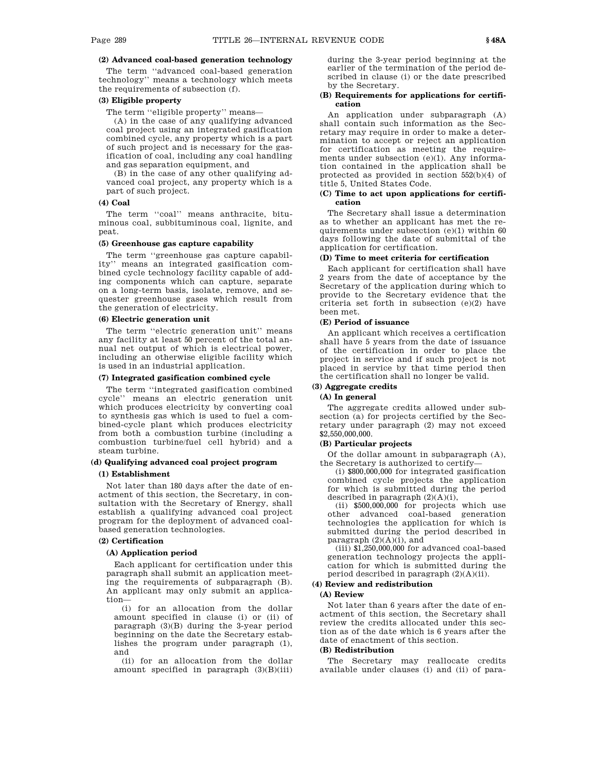# **(2) Advanced coal-based generation technology**

The term ''advanced coal-based generation technology'' means a technology which meets the requirements of subsection (f).

# **(3) Eligible property**

The term ''eligible property'' means—

(A) in the case of any qualifying advanced coal project using an integrated gasification combined cycle, any property which is a part of such project and is necessary for the gasification of coal, including any coal handling and gas separation equipment, and

(B) in the case of any other qualifying advanced coal project, any property which is a part of such project.

### **(4) Coal**

The term ''coal'' means anthracite, bituminous coal, subbituminous coal, lignite, and peat.

### **(5) Greenhouse gas capture capability**

The term ''greenhouse gas capture capability'' means an integrated gasification combined cycle technology facility capable of adding components which can capture, separate on a long-term basis, isolate, remove, and sequester greenhouse gases which result from the generation of electricity.

# **(6) Electric generation unit**

The term ''electric generation unit'' means any facility at least 50 percent of the total annual net output of which is electrical power, including an otherwise eligible facility which is used in an industrial application.

### **(7) Integrated gasification combined cycle**

The term ''integrated gasification combined cycle'' means an electric generation unit which produces electricity by converting coal to synthesis gas which is used to fuel a combined-cycle plant which produces electricity from both a combustion turbine (including a combustion turbine/fuel cell hybrid) and a steam turbine.

### **(d) Qualifying advanced coal project program**

# **(1) Establishment**

Not later than 180 days after the date of enactment of this section, the Secretary, in consultation with the Secretary of Energy, shall establish a qualifying advanced coal project program for the deployment of advanced coalbased generation technologies.

# **(2) Certification**

# **(A) Application period**

Each applicant for certification under this paragraph shall submit an application meeting the requirements of subparagraph (B). An applicant may only submit an application—

(i) for an allocation from the dollar amount specified in clause (i) or (ii) of paragraph (3)(B) during the 3-year period beginning on the date the Secretary establishes the program under paragraph (1), and

(ii) for an allocation from the dollar amount specified in paragraph (3)(B)(iii) during the 3-year period beginning at the earlier of the termination of the period described in clause (i) or the date prescribed by the Secretary.

### **(B) Requirements for applications for certification**

An application under subparagraph (A) shall contain such information as the Secretary may require in order to make a determination to accept or reject an application for certification as meeting the requirements under subsection (e)(1). Any information contained in the application shall be protected as provided in section 552(b)(4) of title 5, United States Code.

# **(C) Time to act upon applications for certification**

The Secretary shall issue a determination as to whether an applicant has met the requirements under subsection (e)(1) within 60 days following the date of submittal of the application for certification.

# **(D) Time to meet criteria for certification**

Each applicant for certification shall have 2 years from the date of acceptance by the Secretary of the application during which to provide to the Secretary evidence that the criteria set forth in subsection (e)(2) have been met.

# **(E) Period of issuance**

An applicant which receives a certification shall have 5 years from the date of issuance of the certification in order to place the project in service and if such project is not placed in service by that time period then the certification shall no longer be valid.

# **(3) Aggregate credits**

# **(A) In general**

The aggregate credits allowed under subsection (a) for projects certified by the Secretary under paragraph (2) may not exceed \$2,550,000,000.

# **(B) Particular projects**

Of the dollar amount in subparagraph (A), the Secretary is authorized to certify—

(i) \$800,000,000 for integrated gasification combined cycle projects the application for which is submitted during the period described in paragraph (2)(A)(i),

(ii) \$500,000,000 for projects which use other advanced coal-based generation technologies the application for which is submitted during the period described in paragraph  $(2)(A)(i)$ , and

 $(iii)$  \$1,250,000,000 for advanced coal-based generation technology projects the application for which is submitted during the period described in paragraph  $(2)(A)(ii)$ .

# **(4) Review and redistribution**

# **(A) Review**

Not later than 6 years after the date of enactment of this section, the Secretary shall review the credits allocated under this section as of the date which is 6 years after the date of enactment of this section.

### **(B) Redistribution**

The Secretary may reallocate credits available under clauses (i) and (ii) of para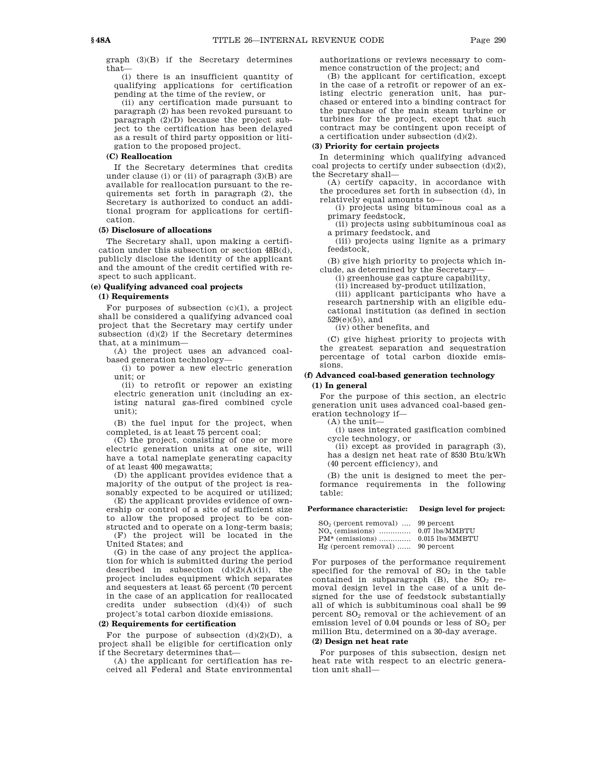graph (3)(B) if the Secretary determines that—

(i) there is an insufficient quantity of qualifying applications for certification pending at the time of the review, or

(ii) any certification made pursuant to paragraph (2) has been revoked pursuant to paragraph (2)(D) because the project subject to the certification has been delayed as a result of third party opposition or litigation to the proposed project.

#### **(C) Reallocation**

If the Secretary determines that credits under clause (i) or (ii) of paragraph (3)(B) are available for reallocation pursuant to the requirements set forth in paragraph (2), the Secretary is authorized to conduct an additional program for applications for certification.

#### **(5) Disclosure of allocations**

The Secretary shall, upon making a certification under this subsection or section 48B(d), publicly disclose the identity of the applicant and the amount of the credit certified with respect to such applicant.

#### **(e) Qualifying advanced coal projects**

## **(1) Requirements**

For purposes of subsection  $(c)(1)$ , a project shall be considered a qualifying advanced coal project that the Secretary may certify under subsection  $(d)(2)$  if the Secretary determines that, at a minimum—

(A) the project uses an advanced coalbased generation technology—

(i) to power a new electric generation unit; or

(ii) to retrofit or repower an existing electric generation unit (including an existing natural gas-fired combined cycle unit);

(B) the fuel input for the project, when completed, is at least 75 percent coal;

(C) the project, consisting of one or more electric generation units at one site, will have a total nameplate generating capacity of at least 400 megawatts;

(D) the applicant provides evidence that a majority of the output of the project is reasonably expected to be acquired or utilized;

(E) the applicant provides evidence of ownership or control of a site of sufficient size to allow the proposed project to be constructed and to operate on a long-term basis; (F) the project will be located in the

United States; and

(G) in the case of any project the application for which is submitted during the period described in subsection  $(d)(2)(A)(ii)$ , the project includes equipment which separates and sequesters at least 65 percent (70 percent in the case of an application for reallocated credits under subsection  $(d)(4)$  of such project's total carbon dioxide emissions.

### **(2) Requirements for certification**

For the purpose of subsection  $(d)(2)(D)$ , a project shall be eligible for certification only if the Secretary determines that—

(A) the applicant for certification has received all Federal and State environmental authorizations or reviews necessary to commence construction of the project; and

(B) the applicant for certification, except in the case of a retrofit or repower of an existing electric generation unit, has purchased or entered into a binding contract for the purchase of the main steam turbine or turbines for the project, except that such contract may be contingent upon receipt of a certification under subsection (d)(2).

# **(3) Priority for certain projects**

In determining which qualifying advanced coal projects to certify under subsection (d)(2), the Secretary shall—

(A) certify capacity, in accordance with the procedures set forth in subsection (d), in relatively equal amounts to—

(i) projects using bituminous coal as a primary feedstock,

(ii) projects using subbituminous coal as a primary feedstock, and

(iii) projects using lignite as a primary feedstock,

(B) give high priority to projects which include, as determined by the Secretary—

(i) greenhouse gas capture capability,

(ii) increased by-product utilization,

(iii) applicant participants who have a research partnership with an eligible educational institution (as defined in section  $529(e)(5)$ ), and

(iv) other benefits, and

(C) give highest priority to projects with the greatest separation and sequestration percentage of total carbon dioxide emissions.

# **(f) Advanced coal-based generation technology (1) In general**

For the purpose of this section, an electric generation unit uses advanced coal-based generation technology if—

(A) the unit—

(i) uses integrated gasification combined cycle technology, or

(ii) except as provided in paragraph (3), has a design net heat rate of 8530 Btu/kWh (40 percent efficiency), and

(B) the unit is designed to meet the performance requirements in the following table:

## **Performance characteristic: Design level for project:**

| $SO2$ (percent removal)  99 percent |                     |
|-------------------------------------|---------------------|
|                                     |                     |
| $PM*$ (emissions)                   | $0.015$ $lbs/MMBTU$ |
| Hg (percent removal)  90 percent    |                     |

For purposes of the performance requirement specified for the removal of  $SO<sub>2</sub>$  in the table contained in subparagraph  $(B)$ , the  $SO<sub>2</sub>$  removal design level in the case of a unit designed for the use of feedstock substantially all of which is subbituminous coal shall be 99 percent  $SO<sub>2</sub>$  removal or the achievement of an emission level of  $0.04$  pounds or less of  $SO<sub>2</sub>$  per million Btu, determined on a 30-day average.

# **(2) Design net heat rate**

For purposes of this subsection, design net heat rate with respect to an electric generation unit shall—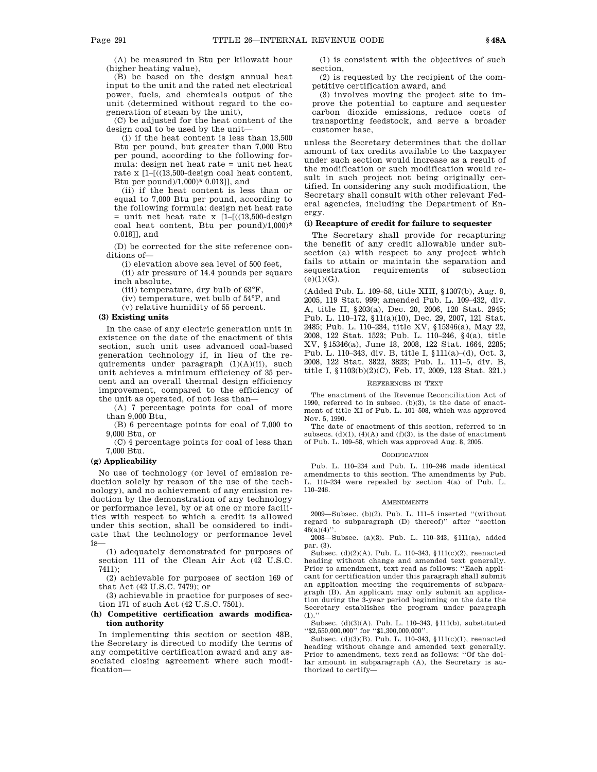(A) be measured in Btu per kilowatt hour (higher heating value),

(B) be based on the design annual heat input to the unit and the rated net electrical power, fuels, and chemicals output of the unit (determined without regard to the cogeneration of steam by the unit),

(C) be adjusted for the heat content of the design coal to be used by the unit—

(i) if the heat content is less than 13,500 Btu per pound, but greater than 7,000 Btu per pound, according to the following formula: design net heat rate = unit net heat rate x [1–[((13,500-design coal heat content, Btu per pound)/1,000)\* 0.013]], and

(ii) if the heat content is less than or equal to 7,000 Btu per pound, according to the following formula: design net heat rate  $=$  unit net heat rate x  $[1-(13,500-\text{design})]$ coal heat content, Btu per pound)/1,000)\* 0.018]], and

(D) be corrected for the site reference conditions of—

(i) elevation above sea level of 500 feet,

(ii) air pressure of 14.4 pounds per square inch absolute,

(iii) temperature, dry bulb of 63°F,

(iv) temperature, wet bulb of 54°F, and

(v) relative humidity of 55 percent.

# **(3) Existing units**

In the case of any electric generation unit in existence on the date of the enactment of this section, such unit uses advanced coal-based generation technology if, in lieu of the requirements under paragraph (1)(A)(ii), such unit achieves a minimum efficiency of 35 percent and an overall thermal design efficiency improvement, compared to the efficiency of the unit as operated, of not less than—

(A) 7 percentage points for coal of more than 9,000 Btu,

(B) 6 percentage points for coal of 7,000 to 9,000 Btu, or

(C) 4 percentage points for coal of less than 7,000 Btu.

### **(g) Applicability**

No use of technology (or level of emission reduction solely by reason of the use of the technology), and no achievement of any emission reduction by the demonstration of any technology or performance level, by or at one or more facilities with respect to which a credit is allowed under this section, shall be considered to indicate that the technology or performance level is—

(1) adequately demonstrated for purposes of section 111 of the Clean Air Act (42 U.S.C. 7411);

(2) achievable for purposes of section 169 of that Act (42 U.S.C. 7479); or

(3) achievable in practice for purposes of section 171 of such Act (42 U.S.C. 7501).

### **(h) Competitive certification awards modification authority**

In implementing this section or section 48B, the Secretary is directed to modify the terms of any competitive certification award and any associated closing agreement where such modification—

(1) is consistent with the objectives of such section,

(2) is requested by the recipient of the competitive certification award, and

(3) involves moving the project site to improve the potential to capture and sequester carbon dioxide emissions, reduce costs of transporting feedstock, and serve a broader customer base,

unless the Secretary determines that the dollar amount of tax credits available to the taxpayer under such section would increase as a result of the modification or such modification would result in such project not being originally certified. In considering any such modification, the Secretary shall consult with other relevant Federal agencies, including the Department of Energy.

# **(i) Recapture of credit for failure to sequester**

The Secretary shall provide for recapturing the benefit of any credit allowable under subsection (a) with respect to any project which fails to attain or maintain the separation and sequestration requirements of subsection  $(e)(1)(G)$ .

(Added Pub. L. 109–58, title XIII, §1307(b), Aug. 8, 2005, 119 Stat. 999; amended Pub. L. 109–432, div. A, title II, §203(a), Dec. 20, 2006, 120 Stat. 2945; Pub. L. 110–172, §11(a)(10), Dec. 29, 2007, 121 Stat. 2485; Pub. L. 110–234, title XV, §15346(a), May 22, 2008, 122 Stat. 1523; Pub. L. 110–246, §4(a), title XV, §15346(a), June 18, 2008, 122 Stat. 1664, 2285; Pub. L. 110–343, div. B, title I, §111(a)–(d), Oct. 3, 2008, 122 Stat. 3822, 3823; Pub. L. 111–5, div. B, title I, §1103(b)(2)(C), Feb. 17, 2009, 123 Stat. 321.)

#### REFERENCES IN TEXT

The enactment of the Revenue Reconciliation Act of 1990, referred to in subsec. (b)(3), is the date of enactment of title XI of Pub. L. 101–508, which was approved Nov. 5, 1990.

The date of enactment of this section, referred to in subsecs.  $(d)(1)$ ,  $(4)(A)$  and  $(f)(3)$ , is the date of enactment of Pub. L. 109–58, which was approved Aug. 8, 2005.

#### **CODIFICATION**

Pub. L. 110–234 and Pub. L. 110–246 made identical amendments to this section. The amendments by Pub. L. 110–234 were repealed by section 4(a) of Pub. L. 110–246.

#### **AMENDMENTS**

2009—Subsec. (b)(2). Pub. L. 111–5 inserted ''(without regard to subparagraph (D) thereof)'' after ''section  $48(a)(4)$ "

2008—Subsec. (a)(3). Pub. L. 110–343, §111(a), added par. (3).

Subsec. (d)(2)(A). Pub. L. 110–343, §111(c)(2), reenacted heading without change and amended text generally. Prior to amendment, text read as follows: ''Each applicant for certification under this paragraph shall submit an application meeting the requirements of subparagraph (B). An applicant may only submit an application during the 3-year period beginning on the date the Secretary establishes the program under paragraph  $(1).$ 

Subsec. (d)(3)(A). Pub. L. 110–343, §111(b), substituted  $``\$2,550,000,000"$  for  $``\$1,300,000,000"$ 

Subsec. (d)(3)(B). Pub. L. 110–343, §111(c)(1), reenacted heading without change and amended text generally. Prior to amendment, text read as follows: ''Of the dollar amount in subparagraph (A), the Secretary is authorized to certify—